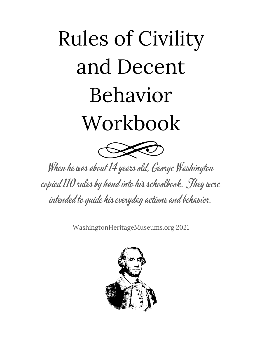## Rules of Civility and Decent Behavior Workbook



When he was about 14 years old, George Washington copied 110 rules by hand into his schoolbook. They were intended to guide his everyday actions and behavior.

WashingtonHeritageMuseums.org 2021

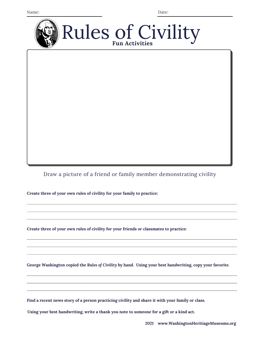

Draw a picture of a friend or family member demonstrating civility

**Create three of your own rules of civility for your family to practice:**

**Create three of your own rules of civility for your friends or classmates to practice:**

**George Washington copied the** *Rules of Civility* **by hand. Using your best handwriting, copy your favorite.**

**Find a recent news story of a person practicing civility and share it with your family or class.**

**Using your best handwriting, write a thank you note to someone for a gift or a kind act.**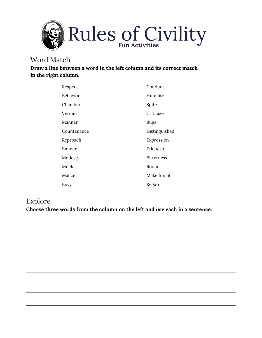

## Word Match

**Draw a line between a word in the left column and its correct match in the right column.**

| Respect     | Conduct           |
|-------------|-------------------|
| Behavior    | Humility          |
| Chamber     | Spite             |
| Vermin      | Criticize         |
| Manner      | <b>Bugs</b>       |
| Countenance | Distinguished     |
| Reproach    | Expression        |
| Eminent     | Etiquette         |
| Modesty     | <b>Bitterness</b> |
| Mock        | Room              |
| Malice      | Make fun of       |
| Envy        | Regard            |

## Explore

**Choose three words from the column on the left and use each in a sentence.**